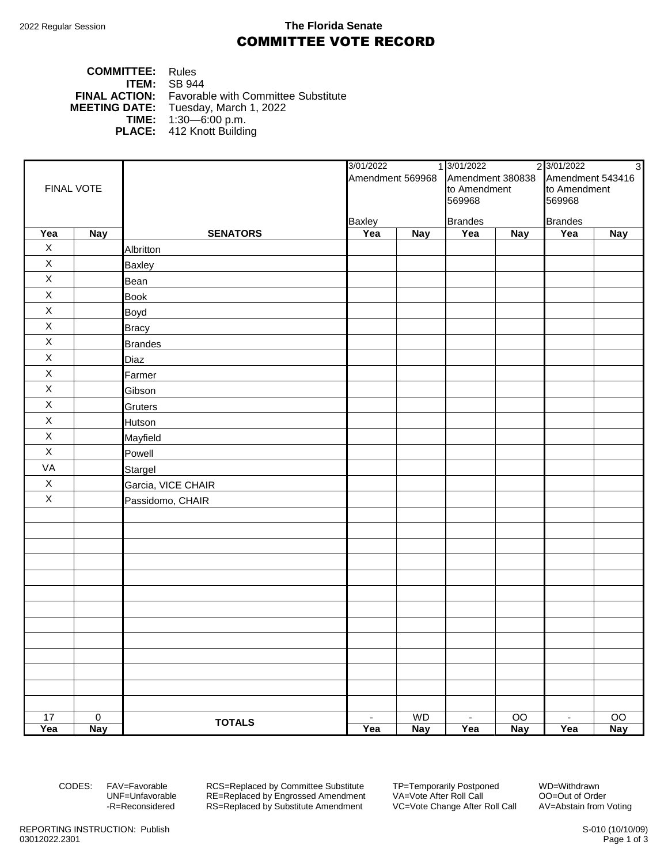## 2022 Regular Session **The Florida Senate** COMMITTEE VOTE RECORD

### **COMMITTEE:** Rules **ITEM:** SB 944 **FINAL ACTION:** Favorable with Committee Substitute<br>**MEETING DATE:** Tuesday, March 1, 2022 Tuesday, March 1, 2022 **TIME:** 1:30—6:00 p.m. **PLACE:** 412 Knott Building

| FINAL VOTE  |             |                    | 3/01/2022<br>Amendment 569968 Amendment 380838 |            | 1 3/01/2022<br>2 3/01/2022<br>$\overline{3}$ |            |                  |                 |  |
|-------------|-------------|--------------------|------------------------------------------------|------------|----------------------------------------------|------------|------------------|-----------------|--|
|             |             |                    |                                                |            |                                              |            | Amendment 543416 |                 |  |
|             |             |                    |                                                |            | to Amendment                                 |            | to Amendment     |                 |  |
|             |             |                    |                                                |            | 569968                                       |            | 569968           |                 |  |
|             |             |                    | <b>Baxley</b>                                  |            | <b>Brandes</b>                               |            | <b>Brandes</b>   |                 |  |
| Yea         | <b>Nay</b>  | <b>SENATORS</b>    | Yea                                            | <b>Nay</b> | Yea                                          | <b>Nay</b> | Yea              | <b>Nay</b>      |  |
| $\mathsf X$ |             | Albritton          |                                                |            |                                              |            |                  |                 |  |
| $\mathsf X$ |             | <b>Baxley</b>      |                                                |            |                                              |            |                  |                 |  |
| $\mathsf X$ |             | Bean               |                                                |            |                                              |            |                  |                 |  |
| $\mathsf X$ |             | <b>Book</b>        |                                                |            |                                              |            |                  |                 |  |
| $\mathsf X$ |             | Boyd               |                                                |            |                                              |            |                  |                 |  |
| $\mathsf X$ |             | <b>Bracy</b>       |                                                |            |                                              |            |                  |                 |  |
| $\mathsf X$ |             | <b>Brandes</b>     |                                                |            |                                              |            |                  |                 |  |
| $\mathsf X$ |             | Diaz               |                                                |            |                                              |            |                  |                 |  |
| $\mathsf X$ |             | Farmer             |                                                |            |                                              |            |                  |                 |  |
| $\mathsf X$ |             | Gibson             |                                                |            |                                              |            |                  |                 |  |
| $\mathsf X$ |             | Gruters            |                                                |            |                                              |            |                  |                 |  |
| $\mathsf X$ |             | Hutson             |                                                |            |                                              |            |                  |                 |  |
| $\mathsf X$ |             | Mayfield           |                                                |            |                                              |            |                  |                 |  |
| $\mathsf X$ |             | Powell             |                                                |            |                                              |            |                  |                 |  |
| VA          |             | Stargel            |                                                |            |                                              |            |                  |                 |  |
| $\mathsf X$ |             | Garcia, VICE CHAIR |                                                |            |                                              |            |                  |                 |  |
| $\mathsf X$ |             | Passidomo, CHAIR   |                                                |            |                                              |            |                  |                 |  |
|             |             |                    |                                                |            |                                              |            |                  |                 |  |
|             |             |                    |                                                |            |                                              |            |                  |                 |  |
|             |             |                    |                                                |            |                                              |            |                  |                 |  |
|             |             |                    |                                                |            |                                              |            |                  |                 |  |
|             |             |                    |                                                |            |                                              |            |                  |                 |  |
|             |             |                    |                                                |            |                                              |            |                  |                 |  |
|             |             |                    |                                                |            |                                              |            |                  |                 |  |
|             |             |                    |                                                |            |                                              |            |                  |                 |  |
|             |             |                    |                                                |            |                                              |            |                  |                 |  |
|             |             |                    |                                                |            |                                              |            |                  |                 |  |
|             |             |                    |                                                |            |                                              |            |                  |                 |  |
|             |             |                    |                                                |            |                                              |            |                  |                 |  |
|             |             |                    |                                                |            |                                              |            |                  |                 |  |
| 17          | $\mathbf 0$ | <b>TOTALS</b>      | $\blacksquare$                                 | WD         | $\blacksquare$                               | OO         | $\blacksquare$   | $\overline{O}O$ |  |
| Yea         | <b>Nay</b>  |                    | Yea                                            | <b>Nay</b> | Yea                                          | <b>Nay</b> | Yea              | <b>Nay</b>      |  |

CODES: FAV=Favorable RCS=Replaced by Committee Substitute TP=Temporarily Postponed WD=Withdrawn<br>UNF=Unfavorable RE=Replaced by Engrossed Amendment VA=Vote After Roll Call 00=Out of Order UNF=Unfavorable RE=Replaced by Engrossed Amendment<br>-R=Reconsidered RS=Replaced by Substitute Amendment RS=Replaced by Substitute Amendment VC=Vote Change After Roll Call AV=Abstain from Voting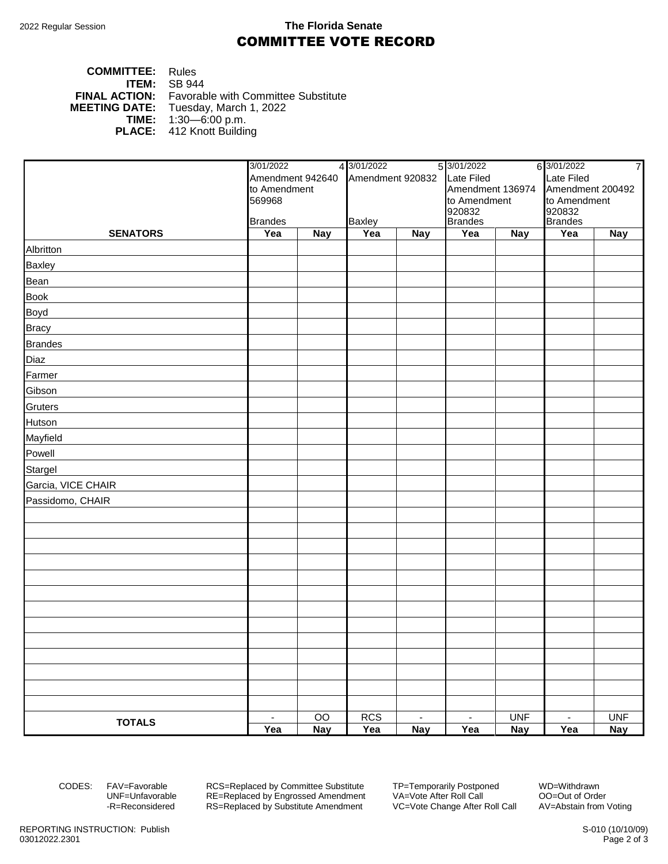### 2022 Regular Session **The Florida Senate** COMMITTEE VOTE RECORD

### **COMMITTEE:** Rules **ITEM:** SB 944 **FINAL ACTION:** Favorable with Committee Substitute<br>**MEETING DATE:** Tuesday, March 1, 2022 Tuesday, March 1, 2022 **TIME:** 1:30—6:00 p.m. **PLACE:** 412 Knott Building

|                    | 4 3/01/2022<br>3/01/2022                  |            |                  | 5 3/01/2022<br>6 3/01/2022<br>$\overline{7}$ |                  |                          |                  |            |
|--------------------|-------------------------------------------|------------|------------------|----------------------------------------------|------------------|--------------------------|------------------|------------|
|                    | Amendment 942640                          |            | Amendment 920832 |                                              | Late Filed       |                          | Late Filed       |            |
|                    | to Amendment                              |            |                  |                                              | Amendment 136974 |                          | Amendment 200492 |            |
|                    | 569968<br><b>Baxley</b><br><b>Brandes</b> |            |                  |                                              | to Amendment     |                          | to Amendment     |            |
|                    |                                           |            |                  | 920832<br><b>Brandes</b>                     |                  | 920832<br><b>Brandes</b> |                  |            |
| <b>SENATORS</b>    | Yea                                       | <b>Nay</b> | Yea              | <b>Nay</b>                                   | Yea              | $\overline{N}$ ay        | Yea              | <b>Nay</b> |
| Albritton          |                                           |            |                  |                                              |                  |                          |                  |            |
| <b>Baxley</b>      |                                           |            |                  |                                              |                  |                          |                  |            |
| Bean               |                                           |            |                  |                                              |                  |                          |                  |            |
| <b>Book</b>        |                                           |            |                  |                                              |                  |                          |                  |            |
| <b>Boyd</b>        |                                           |            |                  |                                              |                  |                          |                  |            |
| <b>Bracy</b>       |                                           |            |                  |                                              |                  |                          |                  |            |
| <b>Brandes</b>     |                                           |            |                  |                                              |                  |                          |                  |            |
| Diaz               |                                           |            |                  |                                              |                  |                          |                  |            |
| Farmer             |                                           |            |                  |                                              |                  |                          |                  |            |
| Gibson             |                                           |            |                  |                                              |                  |                          |                  |            |
| Gruters            |                                           |            |                  |                                              |                  |                          |                  |            |
| Hutson             |                                           |            |                  |                                              |                  |                          |                  |            |
| Mayfield           |                                           |            |                  |                                              |                  |                          |                  |            |
| Powell             |                                           |            |                  |                                              |                  |                          |                  |            |
| Stargel            |                                           |            |                  |                                              |                  |                          |                  |            |
| Garcia, VICE CHAIR |                                           |            |                  |                                              |                  |                          |                  |            |
| Passidomo, CHAIR   |                                           |            |                  |                                              |                  |                          |                  |            |
|                    |                                           |            |                  |                                              |                  |                          |                  |            |
|                    |                                           |            |                  |                                              |                  |                          |                  |            |
|                    |                                           |            |                  |                                              |                  |                          |                  |            |
|                    |                                           |            |                  |                                              |                  |                          |                  |            |
|                    |                                           |            |                  |                                              |                  |                          |                  |            |
|                    |                                           |            |                  |                                              |                  |                          |                  |            |
|                    |                                           |            |                  |                                              |                  |                          |                  |            |
|                    |                                           |            |                  |                                              |                  |                          |                  |            |
|                    |                                           |            |                  |                                              |                  |                          |                  |            |
|                    |                                           |            |                  |                                              |                  |                          |                  |            |
|                    |                                           |            |                  |                                              |                  |                          |                  |            |
|                    |                                           |            |                  |                                              |                  |                          |                  |            |
|                    |                                           |            |                  |                                              |                  |                          |                  |            |
| <b>TOTALS</b>      | $\blacksquare$                            | OO         | <b>RCS</b>       | $\sim$                                       | $\sim$           | <b>UNF</b>               | $\sim$           | <b>UNF</b> |
|                    | Yea                                       | <b>Nay</b> | Yea              | <b>Nay</b>                                   | Yea              | <b>Nay</b>               | Yea              | <b>Nay</b> |

CODES: FAV=Favorable RCS=Replaced by Committee Substitute TP=Temporarily Postponed WD=Withdrawn<br>UNF=Unfavorable RE=Replaced by Engrossed Amendment VA=Vote After Roll Call 00=Out of Order UNF=Unfavorable RE=Replaced by Engrossed Amendment<br>-R=Reconsidered RS=Replaced by Substitute Amendment RS=Replaced by Substitute Amendment VC=Vote Change After Roll Call AV=Abstain from Voting